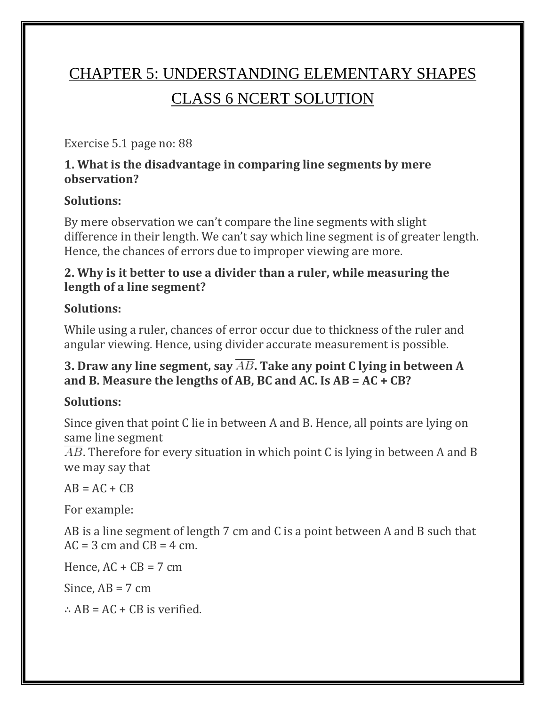# CHAPTER 5: UNDERSTANDING ELEMENTARY SHAPES CLASS 6 NCERT SOLUTION

Exercise 5.1 page no: 88

#### **1. What is the disadvantage in comparing line segments by mere observation?**

### **Solutions:**

By mere observation we can't compare the line segments with slight difference in their length. We can't say which line segment is of greater length. Hence, the chances of errors due to improper viewing are more.

### **2. Why is it better to use a divider than a ruler, while measuring the length of a line segment?**

### **Solutions:**

While using a ruler, chances of error occur due to thickness of the ruler and angular viewing. Hence, using divider accurate measurement is possible.

### **3. Draw any line segment, say**  $\overline{AB}$ **. Take any point C lying in between A and B. Measure the lengths of AB, BC and AC. Is AB = AC + CB?**

# **Solutions:**

Since given that point C lie in between A and B. Hence, all points are lying on same line segment

 $\overline{AB}$ . Therefore for every situation in which point C is lying in between A and B we may say that

 $AB = AC + CB$ 

For example:

AB is a line segment of length 7 cm and C is a point between A and B such that  $AC = 3$  cm and  $CB = 4$  cm.

Hence,  $AC + CB = 7$  cm

Since,  $AB = 7$  cm

∴  $AB = AC + CB$  is verified.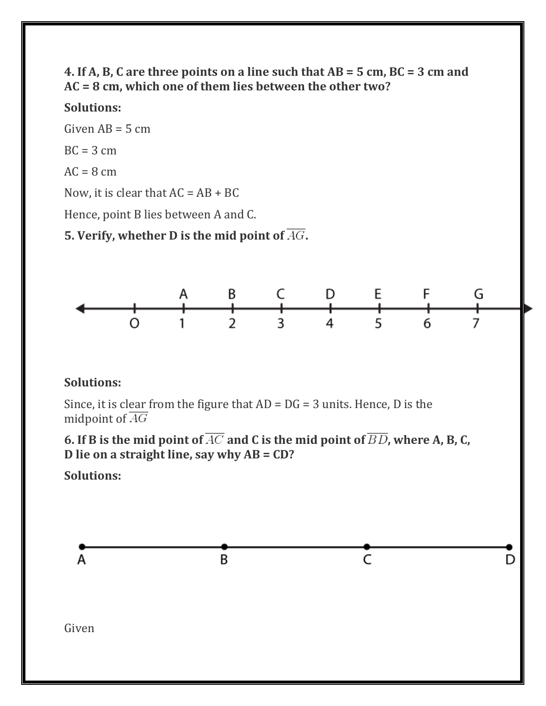#### **4. If A, B, C are three points on a line such that AB = 5 cm, BC = 3 cm and AC = 8 cm, which one of them lies between the other two?**

#### **Solutions:**

Given  $AB = 5$  cm  $BC = 3 cm$  $AC = 8$  cm Now, it is clear that  $AC = AB + BC$ Hence, point B lies between A and C. **5. Verify, whether D is the mid point of .**



#### **Solutions:**

Since, it is clear from the figure that  $AD = DG = 3$  units. Hence, D is the midpoint of  $\overline{AG}$ 

**6. If B is the mid point of**  $\overline{AC}$  **and C is the mid point of**  $\overline{BD}$ **, where A, B, C, D lie on a straight line, say why AB = CD?**

**Solutions:**

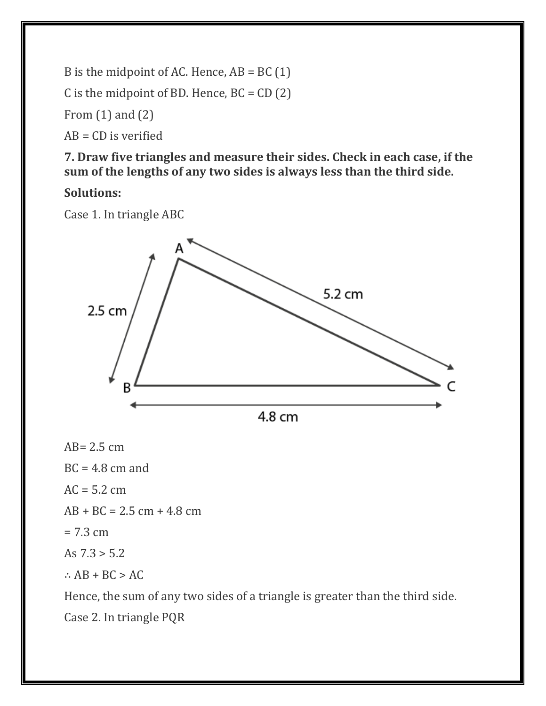B is the midpoint of AC. Hence,  $AB = BC(1)$ 

C is the midpoint of BD. Hence,  $BC = CD(2)$ 

From (1) and (2)

 $AB = CD$  is verified

**7. Draw five triangles and measure their sides. Check in each case, if the sum of the lengths of any two sides is always less than the third side.**

#### **Solutions:**

Case 1. In triangle ABC



 $AB = 2.5$  cm

 $BC = 4.8$  cm and

 $AC = 5.2$  cm

 $AB + BC = 2.5$  cm  $+ 4.8$  cm

 $= 7.3$  cm

As  $7.3 > 5.2$ 

∴  $AB + BC > AC$ 

Hence, the sum of any two sides of a triangle is greater than the third side. Case 2. In triangle PQR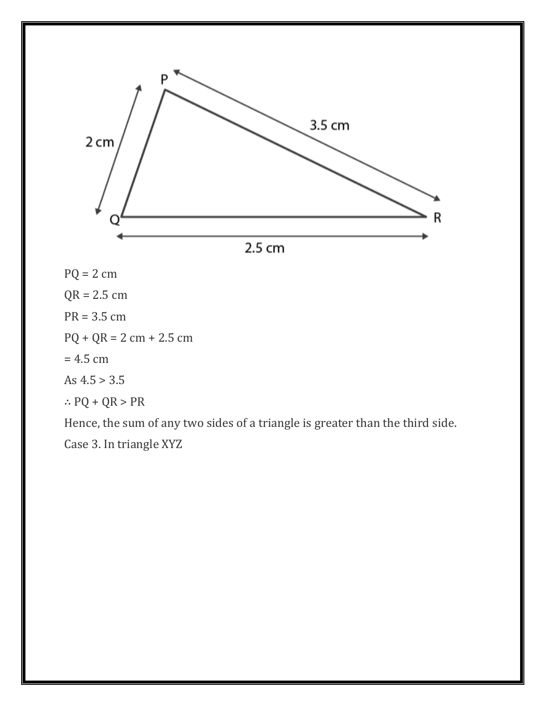

 $PQ = 2$  cm

 $QR = 2.5$  cm

PR = 3.5 cm

 $PQ + QR = 2 cm + 2.5 cm$ 

 $= 4.5$  cm

As  $4.5 > 3.5$ 

∴ PQ + QR > PR

Hence, the sum of any two sides of a triangle is greater than the third side. Case 3. In triangle XYZ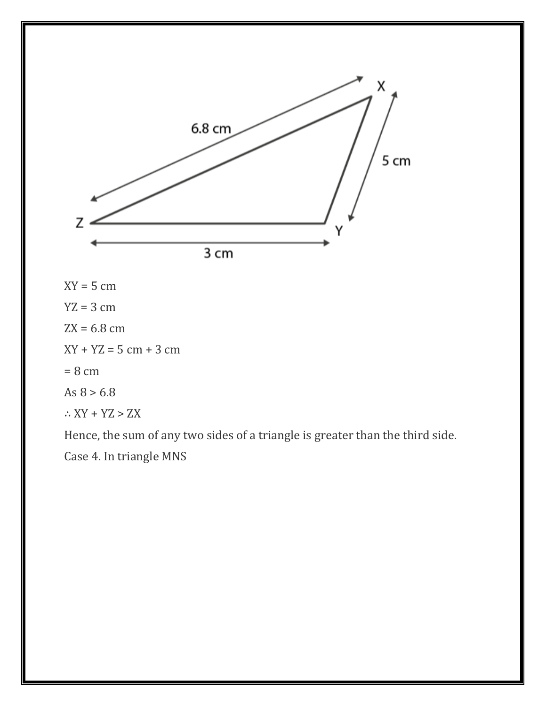

 $XY = 5$  cm  $YZ = 3$  cm  $ZX = 6.8$  cm  $XY + YZ = 5$  cm + 3 cm  $= 8 \text{ cm}$ As  $8 > 6.8$  $\therefore$  XY + YZ > ZX

Hence, the sum of any two sides of a triangle is greater than the third side. Case 4. In triangle MNS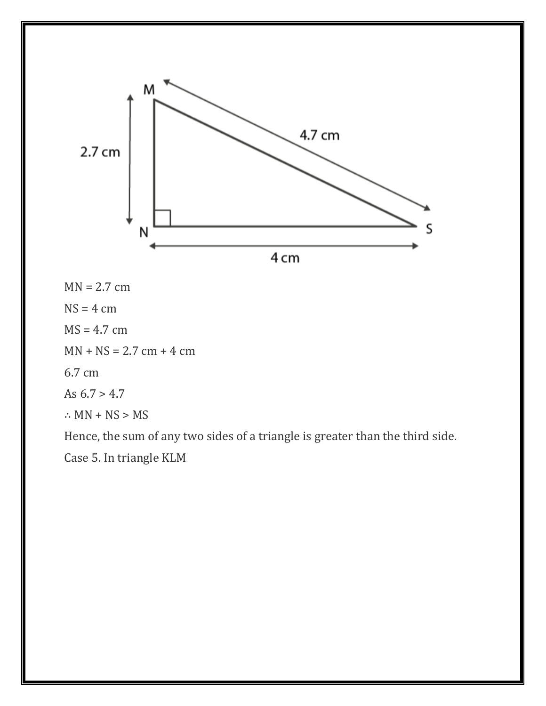

 $MN = 2.7$  cm

 $NS = 4$  cm

 $MS = 4.7$  cm

 $MN + NS = 2.7$  cm + 4 cm

6.7 cm

As  $6.7 > 4.7$ 

 $\therefore$  MN + NS > MS

Hence, the sum of any two sides of a triangle is greater than the third side.

Case 5. In triangle KLM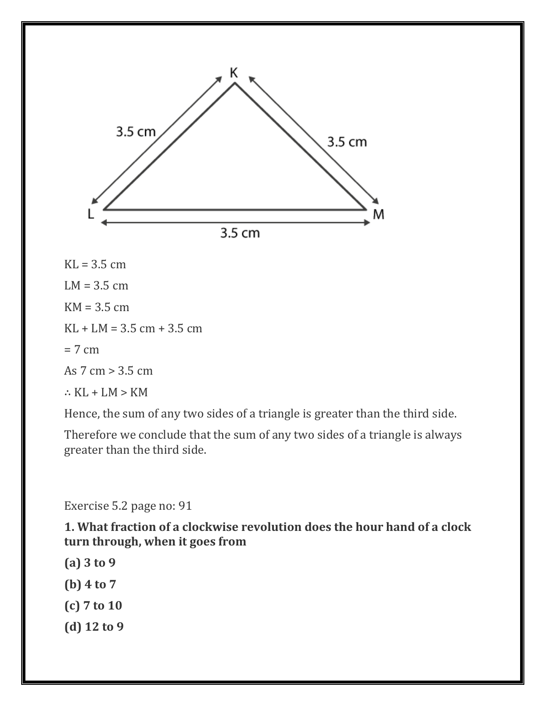

 $KL = 3.5$  cm

 $LM = 3.5$  cm

 $KM = 3.5$  cm

 $KL + LM = 3.5$  cm  $+ 3.5$  cm

 $= 7 cm$ 

As 7 cm > 3.5 cm

∴ KL + LM > KM

Hence, the sum of any two sides of a triangle is greater than the third side.

Therefore we conclude that the sum of any two sides of a triangle is always greater than the third side.

Exercise 5.2 page no: 91

**1. What fraction of a clockwise revolution does the hour hand of a clock turn through, when it goes from**

**(a) 3 to 9 (b) 4 to 7 (c) 7 to 10 (d) 12 to 9**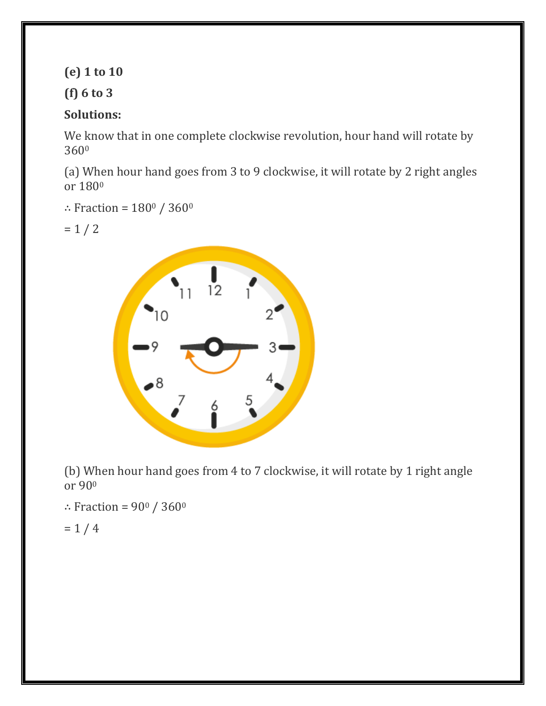**(e) 1 to 10**

#### **(f) 6 to 3**

### **Solutions:**

We know that in one complete clockwise revolution, hour hand will rotate by 360<sup>0</sup>

(a) When hour hand goes from 3 to 9 clockwise, it will rotate by 2 right angles or 180<sup>0</sup>

- ∴ Fraction =  $180^\circ$  / 360 $^\circ$
- $= 1 / 2$



(b) When hour hand goes from 4 to 7 clockwise, it will rotate by 1 right angle or 90<sup>0</sup>

∴ Fraction =  $90^{\circ}$  / 360 $^{\circ}$ 

 $= 1 / 4$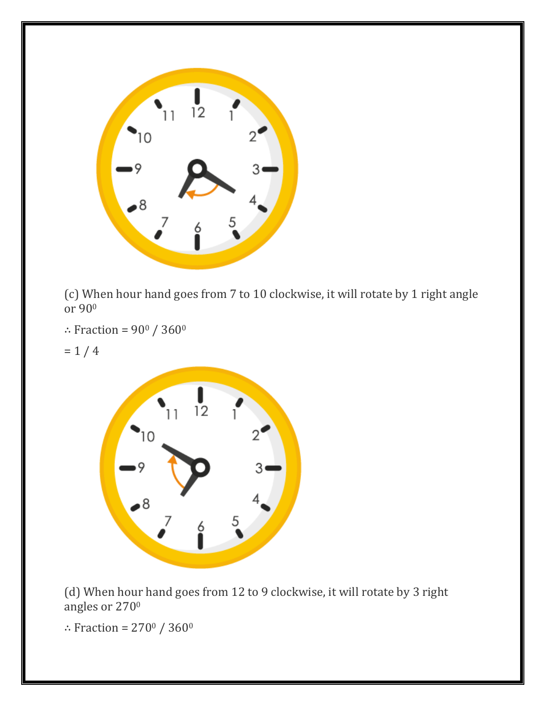

(c) When hour hand goes from 7 to 10 clockwise, it will rotate by 1 right angle or 90<sup>0</sup>

- ∴ Fraction =  $90^{\circ}$  / 360 $^{\circ}$
- $= 1 / 4$



(d) When hour hand goes from 12 to 9 clockwise, it will rotate by 3 right angles or 270<sup>0</sup>

∴ Fraction =  $270^{\circ}$  /  $360^{\circ}$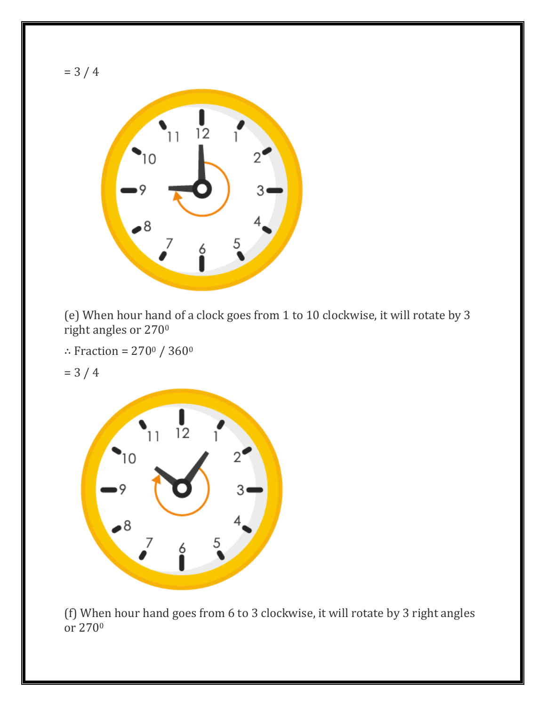

(e) When hour hand of a clock goes from 1 to 10 clockwise, it will rotate by 3 right angles or 270<sup>0</sup>

∴ Fraction =  $270^{\circ}$  /  $360^{\circ}$ 

= 3 / 4



(f) When hour hand goes from 6 to 3 clockwise, it will rotate by 3 right angles or  $270^\circ$ 

= 3 / 4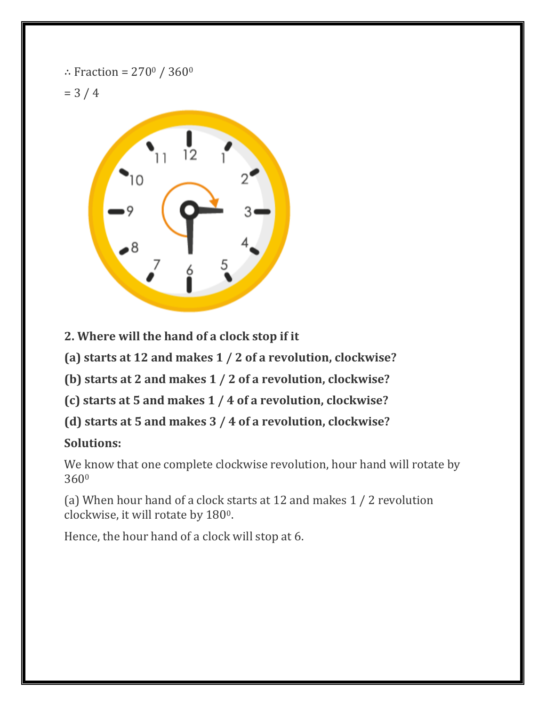$$
\therefore
$$
 Fraction = 270<sup>0</sup> / 360<sup>0</sup>

 $= 3 / 4$ 



**2. Where will the hand of a clock stop if it**

**(a) starts at 12 and makes 1 / 2 of a revolution, clockwise?**

**(b) starts at 2 and makes 1 / 2 of a revolution, clockwise?**

**(c) starts at 5 and makes 1 / 4 of a revolution, clockwise?**

**(d) starts at 5 and makes 3 / 4 of a revolution, clockwise?**

### **Solutions:**

We know that one complete clockwise revolution, hour hand will rotate by 360<sup>0</sup>

(a) When hour hand of a clock starts at 12 and makes 1 / 2 revolution clockwise, it will rotate by 1800.

Hence, the hour hand of a clock will stop at 6.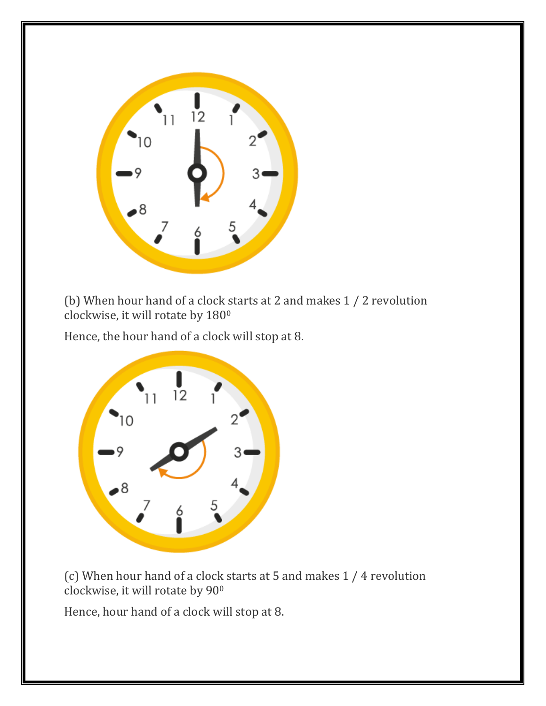

(b) When hour hand of a clock starts at 2 and makes 1 / 2 revolution clockwise, it will rotate by 180<sup>0</sup>

Hence, the hour hand of a clock will stop at 8.



(c) When hour hand of a clock starts at 5 and makes 1 / 4 revolution clockwise, it will rotate by 90<sup>0</sup>

Hence, hour hand of a clock will stop at 8.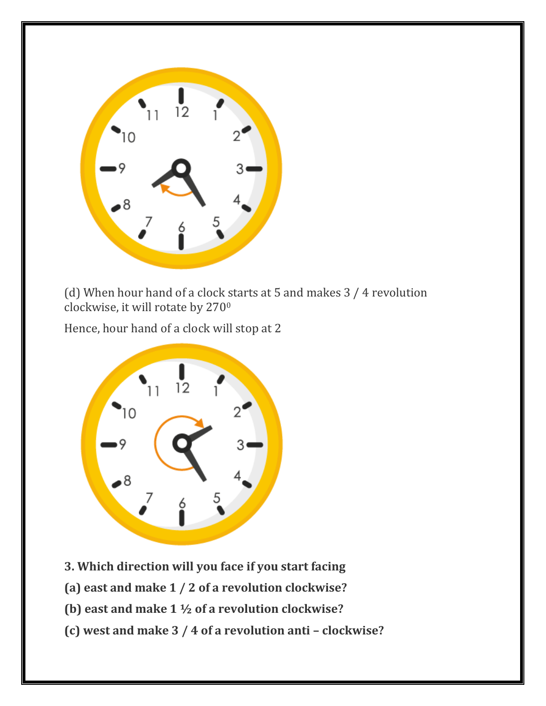

(d) When hour hand of a clock starts at 5 and makes 3 / 4 revolution clockwise, it will rotate by 270<sup>0</sup>

Hence, hour hand of a clock will stop at 2



- **3. Which direction will you face if you start facing**
- **(a) east and make 1 / 2 of a revolution clockwise?**
- **(b) east and make 1 ½ of a revolution clockwise?**
- **(c) west and make 3 / 4 of a revolution anti – clockwise?**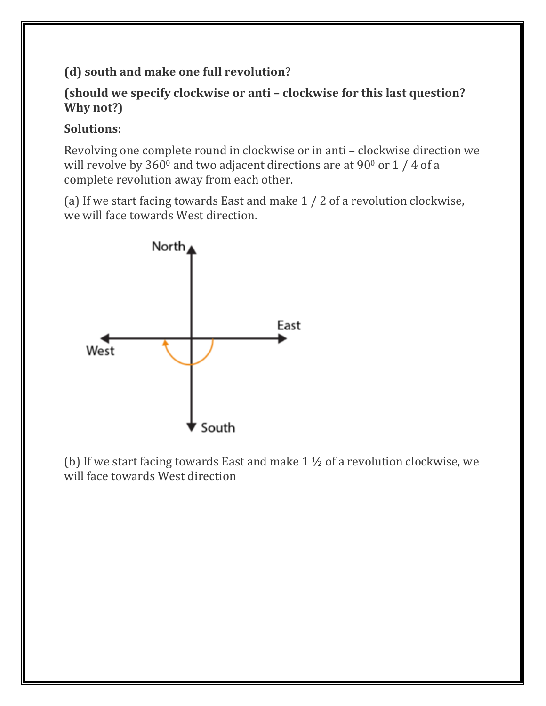### **(d) south and make one full revolution?**

#### **(should we specify clockwise or anti – clockwise for this last question? Why not?)**

#### **Solutions:**

Revolving one complete round in clockwise or in anti – clockwise direction we will revolve by  $360^{\circ}$  and two adjacent directions are at  $90^{\circ}$  or  $1/4$  of a complete revolution away from each other.

(a) If we start facing towards East and make 1 / 2 of a revolution clockwise, we will face towards West direction.



(b) If we start facing towards East and make 1 ½ of a revolution clockwise, we will face towards West direction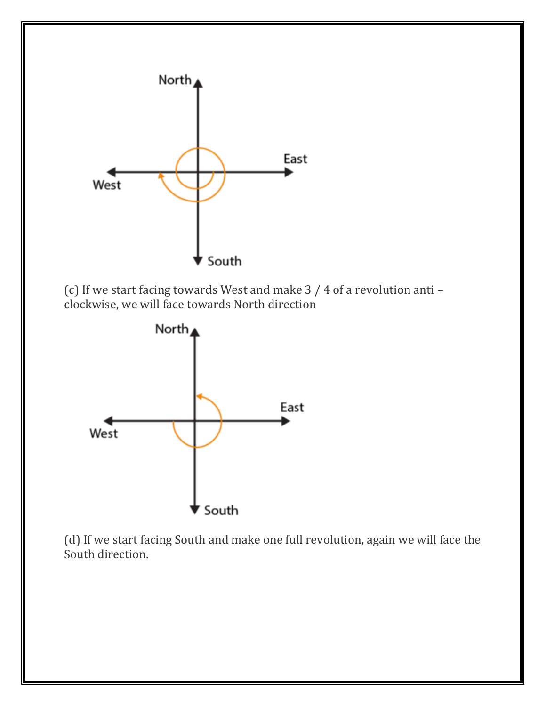

(c) If we start facing towards West and make 3 / 4 of a revolution anti – clockwise, we will face towards North direction



(d) If we start facing South and make one full revolution, again we will face the South direction.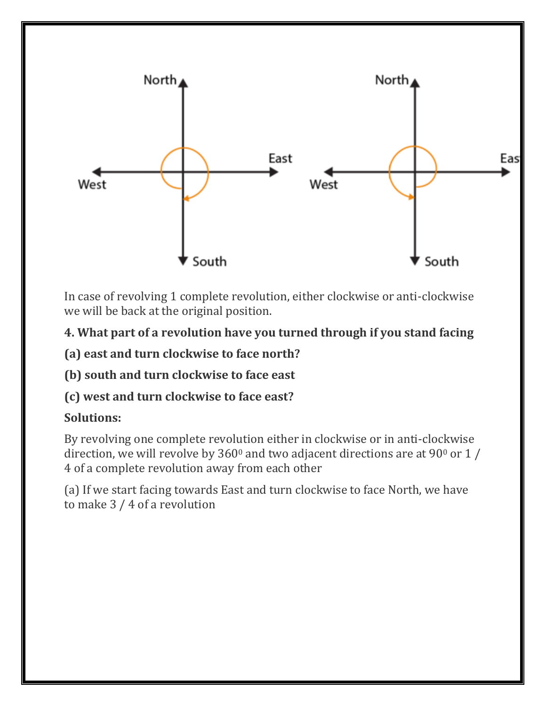

In case of revolving 1 complete revolution, either clockwise or anti-clockwise we will be back at the original position.

### **4. What part of a revolution have you turned through if you stand facing**

**(a) east and turn clockwise to face north?**

**(b) south and turn clockwise to face east**

**(c) west and turn clockwise to face east?**

#### **Solutions:**

By revolving one complete revolution either in clockwise or in anti-clockwise direction, we will revolve by  $360^{\circ}$  and two adjacent directions are at 90 $^{\circ}$  or 1 / 4 of a complete revolution away from each other

(a) If we start facing towards East and turn clockwise to face North, we have to make 3 / 4 of a revolution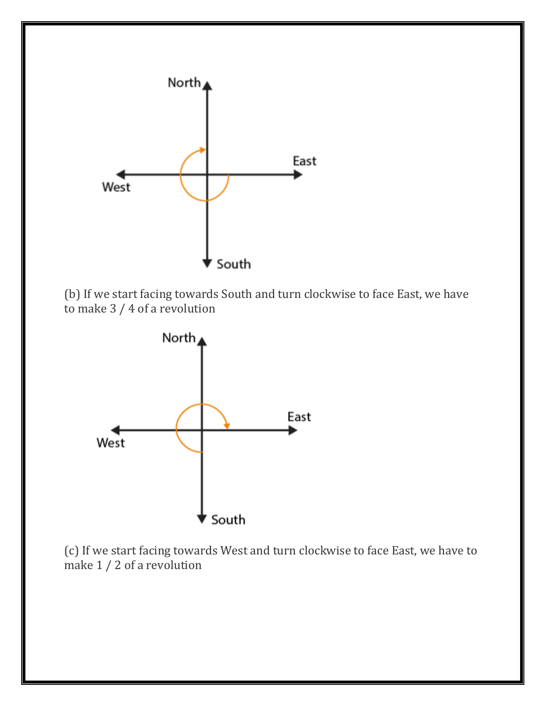

(b) If we start facing towards South and turn clockwise to face East, we have to make 3 / 4 of a revolution



(c) If we start facing towards West and turn clockwise to face East, we have to make 1 / 2 of a revolution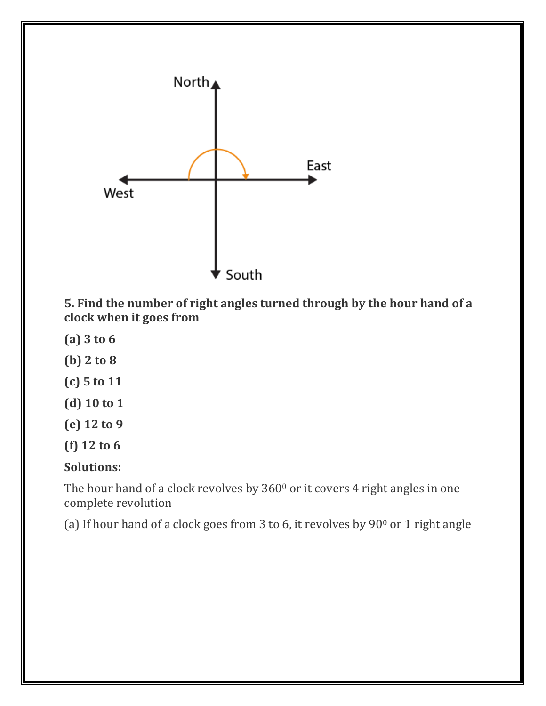

**5. Find the number of right angles turned through by the hour hand of a clock when it goes from**

- **(a) 3 to 6**
- **(b) 2 to 8**
- **(c) 5 to 11**
- **(d) 10 to 1**
- **(e) 12 to 9**
- **(f) 12 to 6**

#### **Solutions:**

The hour hand of a clock revolves by  $360<sup>0</sup>$  or it covers 4 right angles in one complete revolution

(a) If hour hand of a clock goes from 3 to 6, it revolves by  $90^{\circ}$  or 1 right angle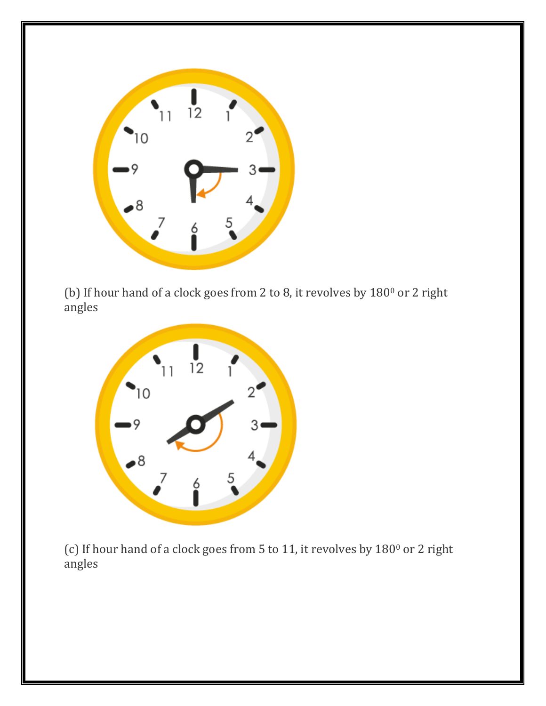

(b) If hour hand of a clock goes from 2 to 8, it revolves by 180<sup>0</sup> or 2 right angles



(c) If hour hand of a clock goes from 5 to 11, it revolves by 180<sup>0</sup> or 2 right angles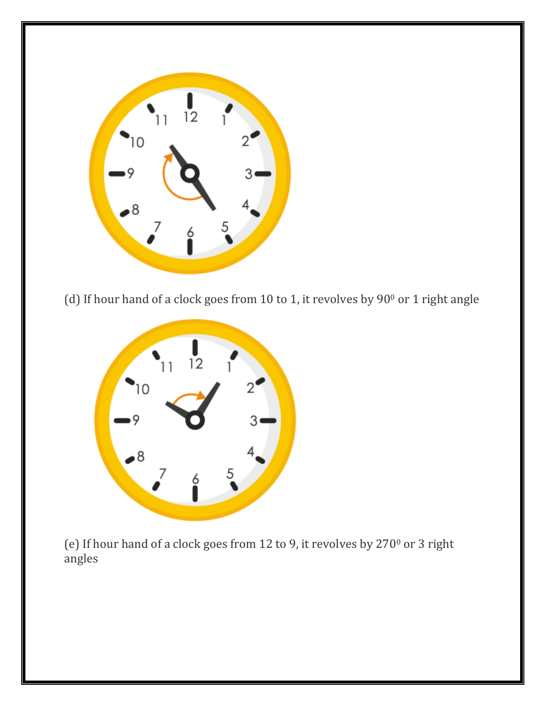

(d) If hour hand of a clock goes from 10 to 1, it revolves by  $90^{\circ}$  or 1 right angle



(e) If hour hand of a clock goes from 12 to 9, it revolves by 270<sup>0</sup> or 3 right angles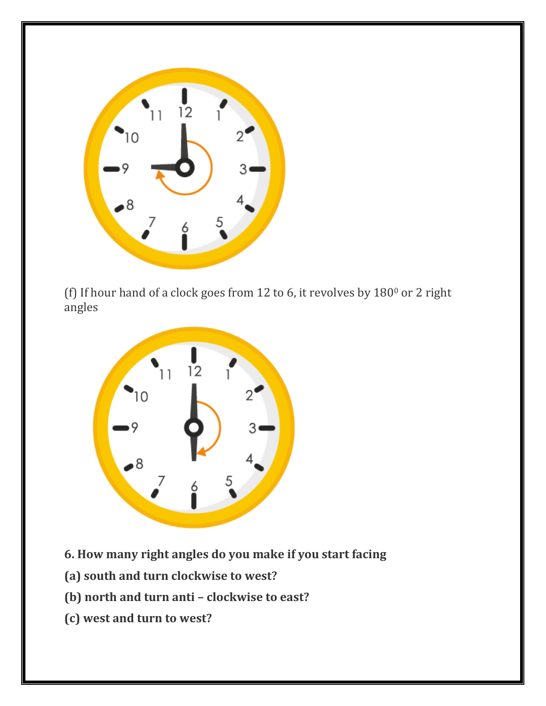

(f) If hour hand of a clock goes from 12 to 6, it revolves by  $180^{\circ}$  or 2 right angles



- **6. How many right angles do you make if you start facing**
- **(a) south and turn clockwise to west?**
- **(b) north and turn anti – clockwise to east?**
- **(c) west and turn to west?**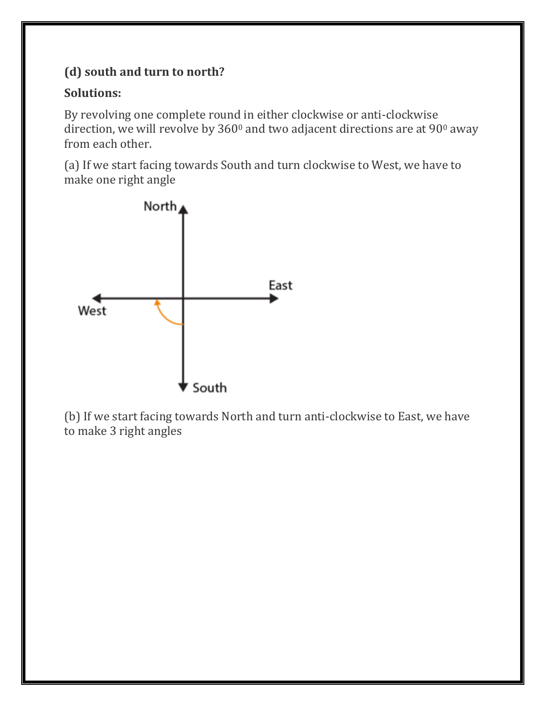# **(d) south and turn to north?**

#### **Solutions:**

By revolving one complete round in either clockwise or anti-clockwise direction, we will revolve by 360<sup>0</sup> and two adjacent directions are at 90<sup>0</sup> away from each other.

(a) If we start facing towards South and turn clockwise to West, we have to make one right angle



(b) If we start facing towards North and turn anti-clockwise to East, we have to make 3 right angles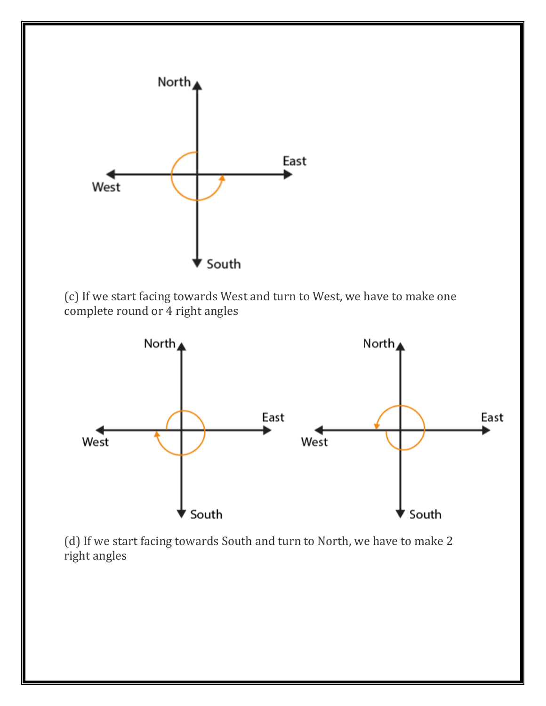

(c) If we start facing towards West and turn to West, we have to make one complete round or 4 right angles



(d) If we start facing towards South and turn to North, we have to make 2 right angles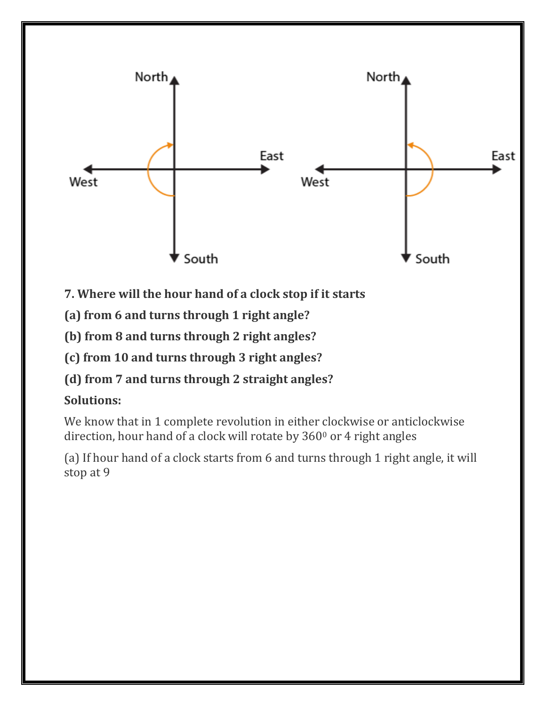

- **7. Where will the hour hand of a clock stop if it starts**
- **(a) from 6 and turns through 1 right angle?**
- **(b) from 8 and turns through 2 right angles?**
- **(c) from 10 and turns through 3 right angles?**
- **(d) from 7 and turns through 2 straight angles?**

### **Solutions:**

We know that in 1 complete revolution in either clockwise or anticlockwise direction, hour hand of a clock will rotate by  $360<sup>0</sup>$  or 4 right angles

(a) If hour hand of a clock starts from 6 and turns through 1 right angle, it will stop at 9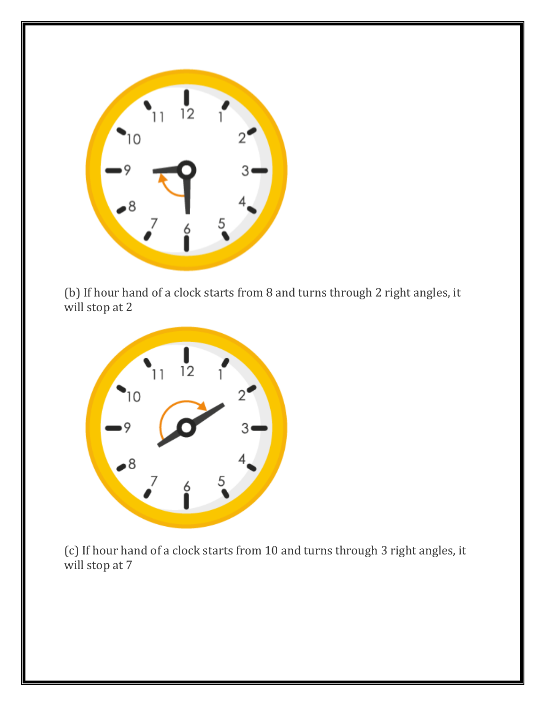

(b) If hour hand of a clock starts from 8 and turns through 2 right angles, it will stop at 2



(c) If hour hand of a clock starts from 10 and turns through 3 right angles, it will stop at 7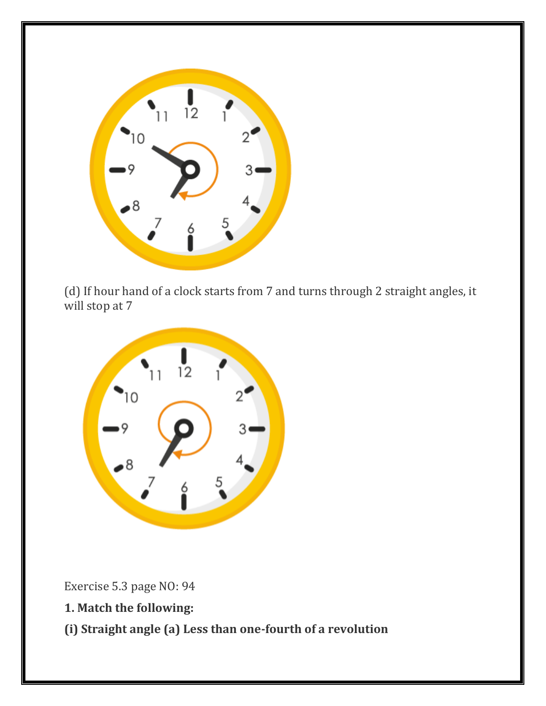

(d) If hour hand of a clock starts from 7 and turns through 2 straight angles, it will stop at 7



Exercise 5.3 page NO: 94

- **1. Match the following:**
- **(i) Straight angle (a) Less than one-fourth of a revolution**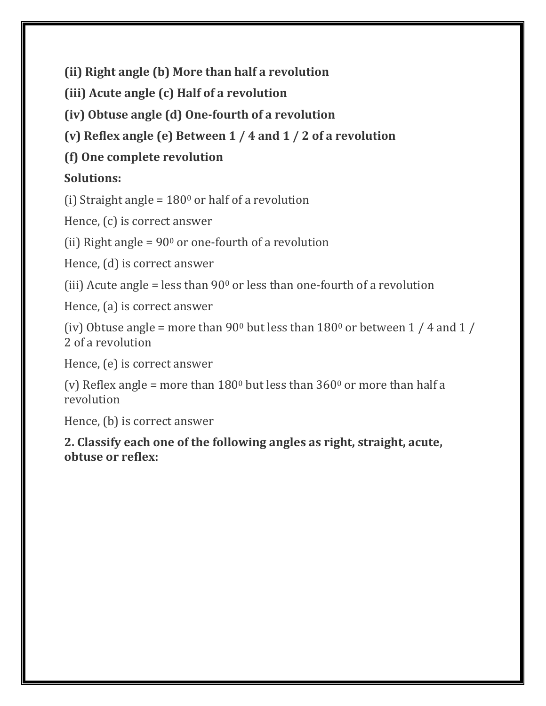**(ii) Right angle (b) More than half a revolution**

**(iii) Acute angle (c) Half of a revolution**

**(iv) Obtuse angle (d) One-fourth of a revolution**

**(v) Reflex angle (e) Between 1 / 4 and 1 / 2 of a revolution**

# **(f) One complete revolution**

# **Solutions:**

(i) Straight angle =  $180^{\circ}$  or half of a revolution

Hence, (c) is correct answer

(ii) Right angle =  $90^{\circ}$  or one-fourth of a revolution

Hence, (d) is correct answer

(iii) Acute angle = less than  $90^{\circ}$  or less than one-fourth of a revolution

Hence, (a) is correct answer

(iv) Obtuse angle = more than 90<sup>0</sup> but less than  $180^{\circ}$  or between 1 / 4 and 1 / 2 of a revolution

Hence, (e) is correct answer

(v) Reflex angle = more than  $180^{\circ}$  but less than  $360^{\circ}$  or more than half a revolution

Hence, (b) is correct answer

**2. Classify each one of the following angles as right, straight, acute, obtuse or reflex:**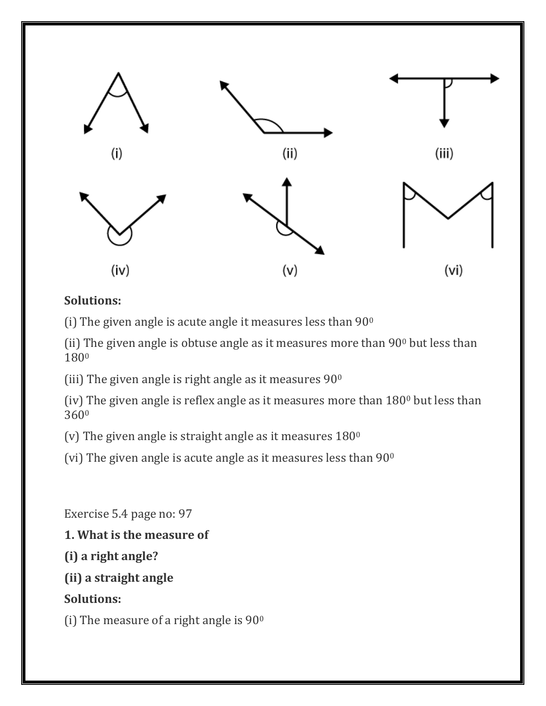

#### **Solutions:**

(i) The given angle is acute angle it measures less than  $90^{\circ}$ 

(ii) The given angle is obtuse angle as it measures more than 90<sup>0</sup> but less than 180<sup>0</sup>

(iii) The given angle is right angle as it measures  $90^{\circ}$ 

(iv) The given angle is reflex angle as it measures more than 180<sup>0</sup> but less than 360<sup>0</sup>

(v) The given angle is straight angle as it measures  $180^\circ$ 

(vi) The given angle is acute angle as it measures less than  $90^{\circ}$ 

Exercise 5.4 page no: 97

**1. What is the measure of**

**(i) a right angle?**

**(ii) a straight angle**

**Solutions:**

(i) The measure of a right angle is  $90^{\circ}$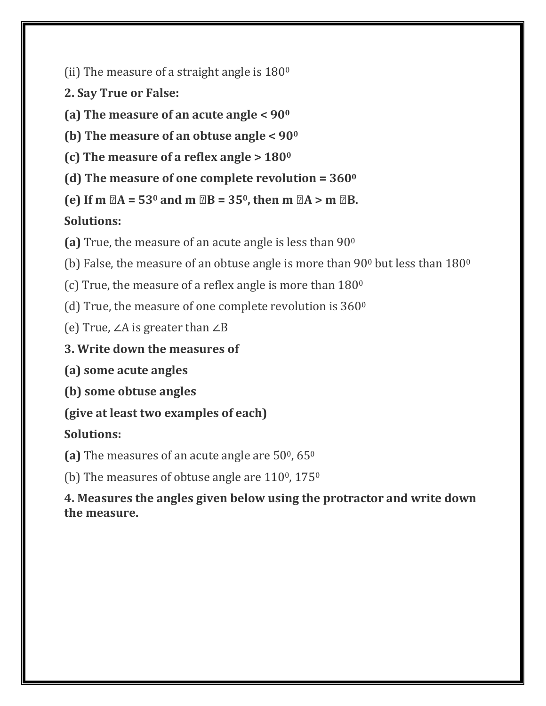(ii) The measure of a straight angle is  $180^\circ$ 

**2. Say True or False:**

**(a) The measure of an acute angle < 90<sup>0</sup>**

**(b) The measure of an obtuse angle < 90<sup>0</sup>**

**(c) The measure of a reflex angle > 180<sup>0</sup>**

**(d) The measure of one complete revolution = 360<sup>0</sup>**

**(e)** If **m**  $2A = 53^{\circ}$  and **m**  $2B = 35^{\circ}$ , then **m**  $2A > m$   $2B$ .

# **Solutions:**

**(a)** True, the measure of an acute angle is less than 90<sup>0</sup>

(b) False, the measure of an obtuse angle is more than 90 $^{\circ}$  but less than 180 $^{\circ}$ 

(c) True, the measure of a reflex angle is more than  $180^\circ$ 

(d) True, the measure of one complete revolution is  $360^\circ$ 

(e) True, ∠A is greater than ∠B

**3. Write down the measures of**

**(a) some acute angles**

**(b) some obtuse angles**

**(give at least two examples of each)**

# **Solutions:**

(a) The measures of an acute angle are 50<sup>0</sup>, 65<sup>0</sup>

(b) The measures of obtuse angle are  $110^{\circ}$ ,  $175^{\circ}$ 

**4. Measures the angles given below using the protractor and write down the measure.**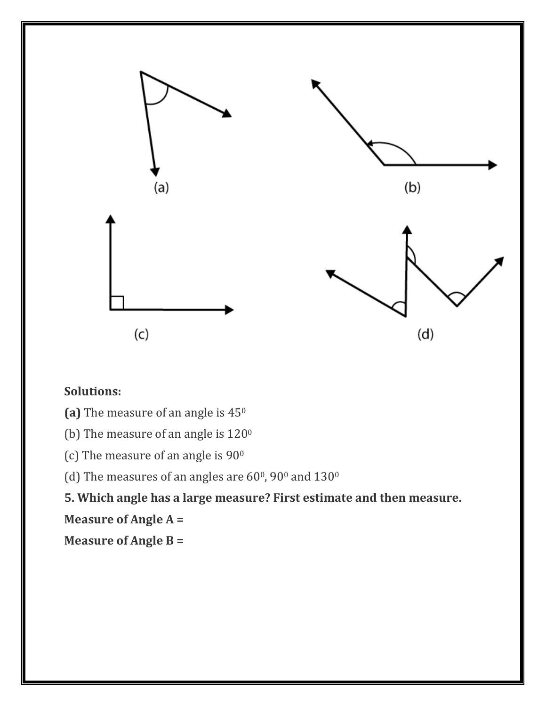

#### **Solutions:**

- **(a)** The measure of an angle is 45<sup>0</sup>
- (b) The measure of an angle is  $120^{\circ}$
- (c) The measure of an angle is  $90^{\circ}$

(d) The measures of an angles are  $60^{\circ}$ ,  $90^{\circ}$  and  $130^{\circ}$ 

**5. Which angle has a large measure? First estimate and then measure.**

**Measure of Angle A =**

**Measure of Angle B =**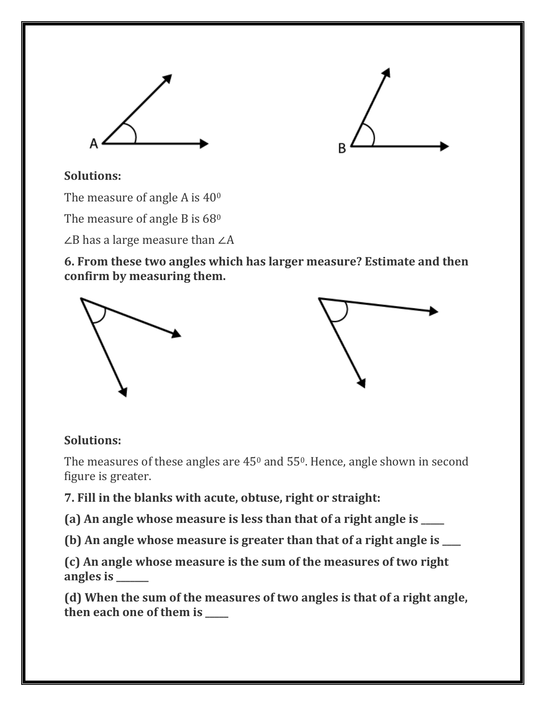



#### **Solutions:**

The measure of angle A is  $40^{\circ}$ 

The measure of angle B is 68<sup>0</sup>

∠B has a large measure than ∠A

**6. From these two angles which has larger measure? Estimate and then confirm by measuring them.**



#### **Solutions:**

The measures of these angles are  $45^{\circ}$  and  $55^{\circ}$ . Hence, angle shown in second figure is greater.

**7. Fill in the blanks with acute, obtuse, right or straight:**

**(a) An angle whose measure is less than that of a right angle is \_\_\_\_\_**

**(b) An angle whose measure is greater than that of a right angle is \_\_\_\_**

**(c) An angle whose measure is the sum of the measures of two right angles is \_\_\_\_\_\_\_**

**(d) When the sum of the measures of two angles is that of a right angle, then each one of them is \_\_\_\_\_**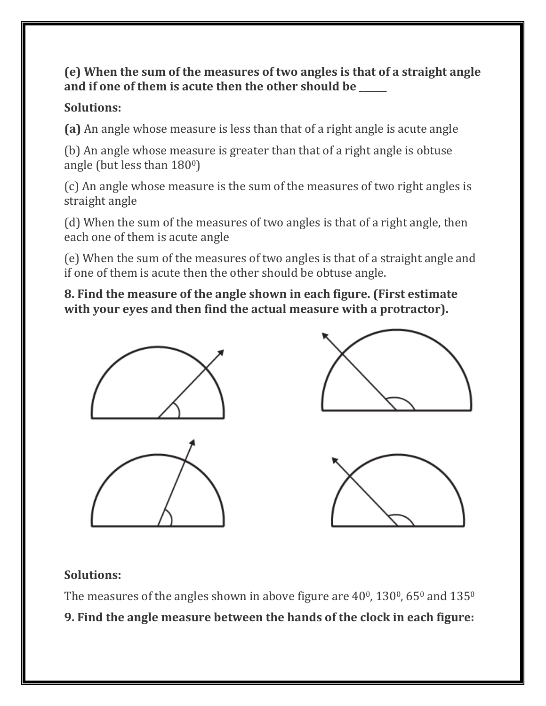#### **(e) When the sum of the measures of two angles is that of a straight angle and if one of them is acute then the other should be \_\_\_\_\_\_**

### **Solutions:**

**(a)** An angle whose measure is less than that of a right angle is acute angle

(b) An angle whose measure is greater than that of a right angle is obtuse angle (but less than 1800)

(c) An angle whose measure is the sum of the measures of two right angles is straight angle

(d) When the sum of the measures of two angles is that of a right angle, then each one of them is acute angle

(e) When the sum of the measures of two angles is that of a straight angle and if one of them is acute then the other should be obtuse angle.

**8. Find the measure of the angle shown in each figure. (First estimate with your eyes and then find the actual measure with a protractor).**



# **Solutions:**

The measures of the angles shown in above figure are  $40^{\circ}$ ,  $130^{\circ}$ ,  $65^{\circ}$  and  $135^{\circ}$ **9. Find the angle measure between the hands of the clock in each figure:**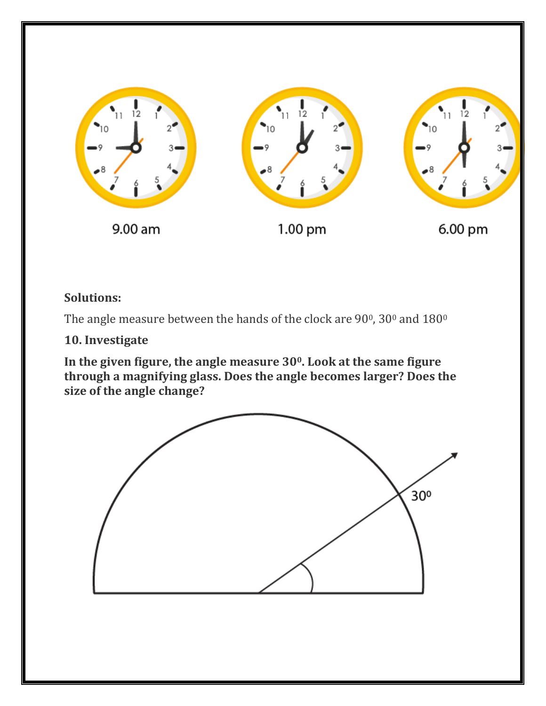

#### **Solutions:**

The angle measure between the hands of the clock are  $90^{\circ}$ ,  $30^{\circ}$  and  $180^{\circ}$ 

#### **10. Investigate**

**In the given figure, the angle measure 300. Look at the same figure through a magnifying glass. Does the angle becomes larger? Does the size of the angle change?**

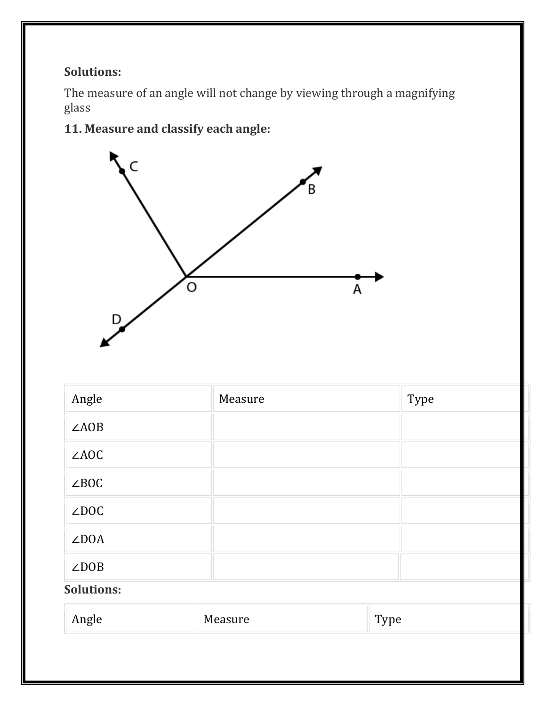### **Solutions:**

The measure of an angle will not change by viewing through a magnifying glass

# **11. Measure and classify each angle:**



| Angle        | Measure | Type |
|--------------|---------|------|
| $\angle AOB$ |         |      |
| $\angle AOC$ |         |      |
| $\angle BOC$ |         |      |
| $\angle$ DOC |         |      |
| $\angle$ DOA |         |      |
| $\angle$ DOB |         |      |

# **Solutions:**

| Angle | Measure<br>. | T <sub>VDP</sub><br>-<br>. .<br>$ -$ |
|-------|--------------|--------------------------------------|
|-------|--------------|--------------------------------------|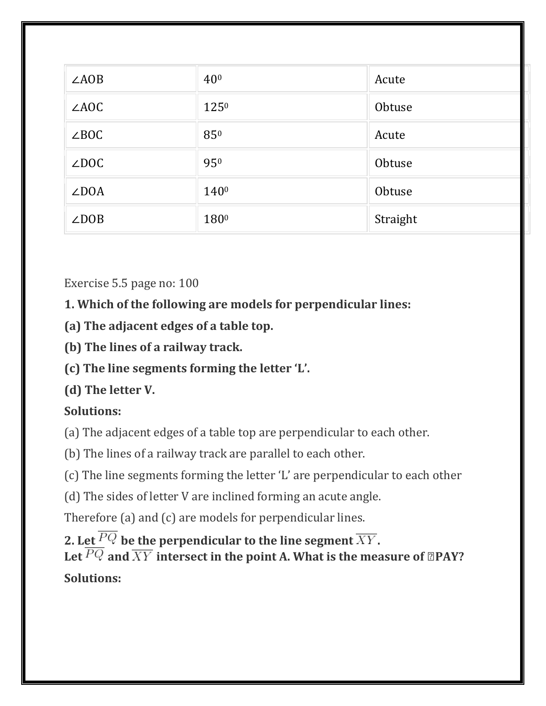| $\angle AOB$ | 40 <sup>0</sup> | Acute    |
|--------------|-----------------|----------|
| $\angle AOC$ | $125^{0}$       | Obtuse   |
| $\angle BOC$ | 850             | Acute    |
| $\angle$ DOC | 950             | Obtuse   |
| $\angle$ DOA | 1400            | Obtuse   |
| $\angle$ DOB | 1800            | Straight |

Exercise 5.5 page no: 100

**1. Which of the following are models for perpendicular lines:**

- **(a) The adjacent edges of a table top.**
- **(b) The lines of a railway track.**
- **(c) The line segments forming the letter 'L'.**
- **(d) The letter V.**

# **Solutions:**

(a) The adjacent edges of a table top are perpendicular to each other.

(b) The lines of a railway track are parallel to each other.

(c) The line segments forming the letter 'L' are perpendicular to each other

(d) The sides of letter V are inclined forming an acute angle.

Therefore (a) and (c) are models for perpendicular lines.

**2.** Let  $\overline{PQ}$  be the perpendicular to the line segment  $\overline{XY}$ . Let  $\overline{PQ}$  and  $\overline{XY}$  intersect in the point A. What is the measure of **<b>z**PAY? **Solutions:**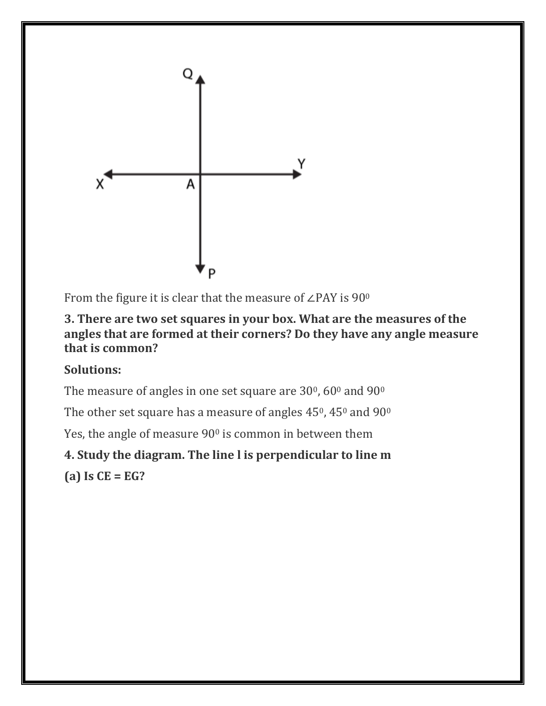

From the figure it is clear that the measure of ∠PAY is 90<sup>0</sup>

#### **3. There are two set squares in your box. What are the measures of the angles that are formed at their corners? Do they have any angle measure that is common?**

# **Solutions:**

The measure of angles in one set square are  $30^0$ ,  $60^0$  and  $90^0$ 

The other set square has a measure of angles  $45^{\circ}$ ,  $45^{\circ}$  and  $90^{\circ}$ 

Yes, the angle of measure 90<sup>0</sup> is common in between them

# **4. Study the diagram. The line l is perpendicular to line m**

**(a) Is CE = EG?**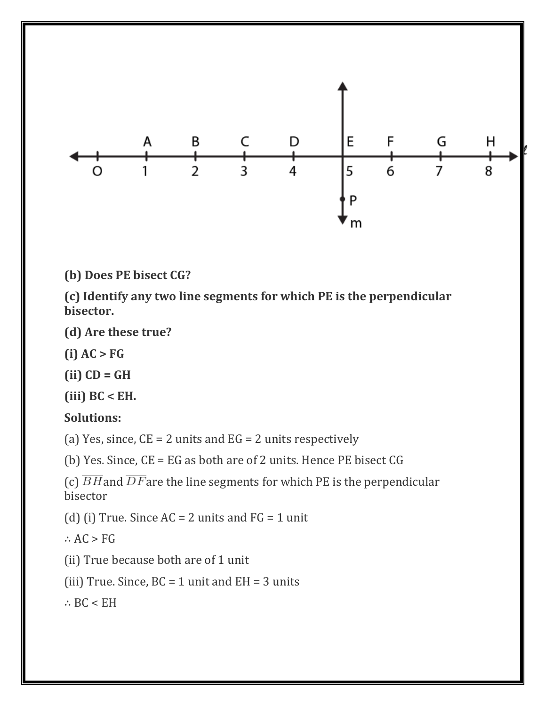

**(b) Does PE bisect CG?**

**(c) Identify any two line segments for which PE is the perpendicular bisector.**

- **(d) Are these true?**
- **(i) AC > FG**
- **(ii) CD = GH**
- **(iii) BC < EH.**

#### **Solutions:**

(a) Yes, since,  $CE = 2$  units and  $EG = 2$  units respectively

(b) Yes. Since, CE = EG as both are of 2 units. Hence PE bisect CG

```
(c) \overline{BH} and \overline{DF} are the line segments for which PE is the perpendicular
bisector
```
(d) (i) True. Since  $AC = 2$  units and  $FG = 1$  unit

- ∴ AC > FG
- (ii) True because both are of 1 unit

(iii) True. Since,  $BC = 1$  unit and  $EH = 3$  units

∴ BC < EH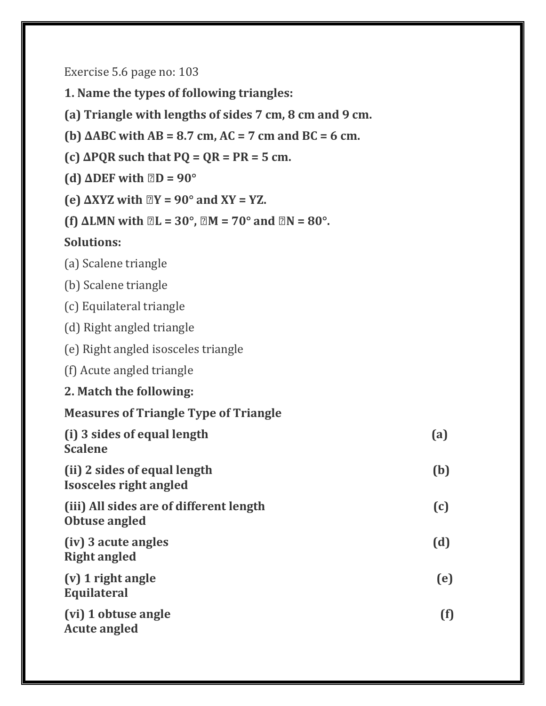Exercise 5.6 page no: 103

**1. Name the types of following triangles:**

- **(a) Triangle with lengths of sides 7 cm, 8 cm and 9 cm.**
- **(b) ∆ABC with AB = 8.7 cm, AC = 7 cm and BC = 6 cm.**
- $(c)$   $\triangle PQR$  such that  $PQ = QR = PR = 5$  cm.
- **(d)**  $\triangle DEF$  with  $\Box D = 90^{\circ}$
- **(e) ∆XYZ with ∠Y = 90° and XY = YZ.**
- **(f)**  $\Delta LMN$  with  $\mathbb{Z}L = 30^\circ$ ,  $\mathbb{Z}M = 70^\circ$  and  $\mathbb{Z}N = 80^\circ$ .

#### **Solutions:**

|  |  |  | (a) Scalene triangle |  |
|--|--|--|----------------------|--|
|--|--|--|----------------------|--|

- (b) Scalene triangle
- (c) Equilateral triangle
- (d) Right angled triangle
- (e) Right angled isosceles triangle
- (f) Acute angled triangle
- **2. Match the following:**

#### **Measures of Triangle Type of Triangle**

| (i) 3 sides of equal length<br><b>Scalene</b>                 | (a) |
|---------------------------------------------------------------|-----|
| (ii) 2 sides of equal length<br><b>Isosceles right angled</b> | (b) |
| (iii) All sides are of different length<br>Obtuse angled      | (c) |
| (iv) 3 acute angles<br><b>Right angled</b>                    | (d) |
| (v) 1 right angle<br><b>Equilateral</b>                       | (e) |
| (vi) 1 obtuse angle<br><b>Acute angled</b>                    | (f) |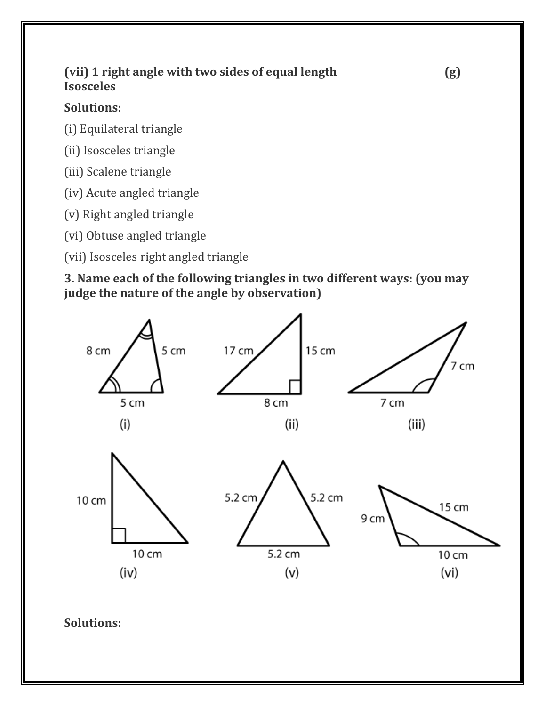### **(vii) 1 right angle with two sides of equal length (g) Isosceles**

### **Solutions:**

(i) Equilateral triangle

- (ii) Isosceles triangle
- (iii) Scalene triangle
- (iv) Acute angled triangle
- (v) Right angled triangle
- (vi) Obtuse angled triangle

(vii) Isosceles right angled triangle

**3. Name each of the following triangles in two different ways: (you may judge the nature of the angle by observation)**



**Solutions:**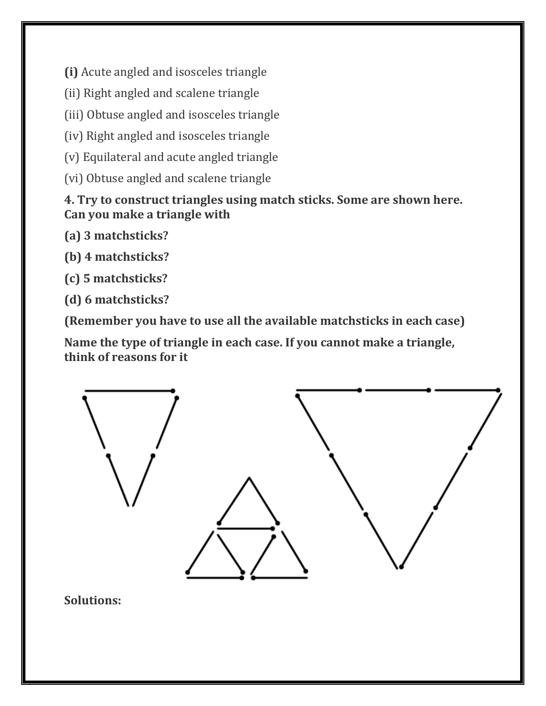**(i)** Acute angled and isosceles triangle

- (ii) Right angled and scalene triangle
- (iii) Obtuse angled and isosceles triangle
- (iv) Right angled and isosceles triangle
- (v) Equilateral and acute angled triangle
- (vi) Obtuse angled and scalene triangle

#### **4. Try to construct triangles using match sticks. Some are shown here. Can you make a triangle with**

- **(a) 3 matchsticks?**
- **(b) 4 matchsticks?**
- **(c) 5 matchsticks?**
- **(d) 6 matchsticks?**

**(Remember you have to use all the available matchsticks in each case)**

**Name the type of triangle in each case. If you cannot make a triangle, think of reasons for it**

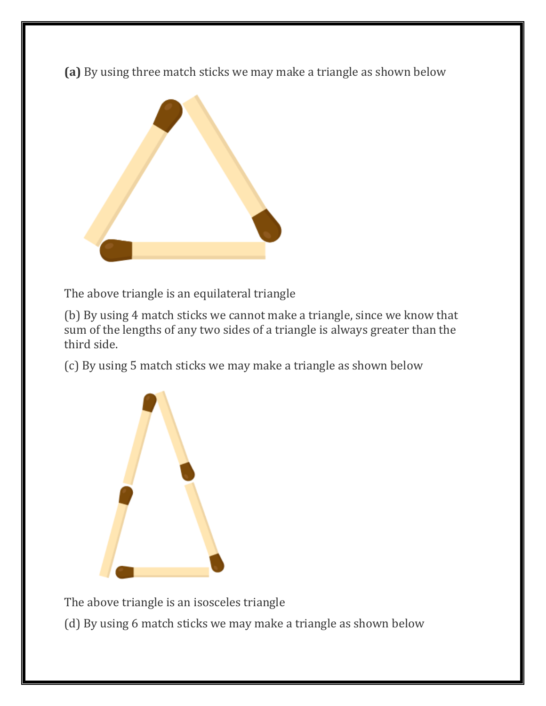**(a)** By using three match sticks we may make a triangle as shown below



The above triangle is an equilateral triangle

(b) By using 4 match sticks we cannot make a triangle, since we know that sum of the lengths of any two sides of a triangle is always greater than the third side.

(c) By using 5 match sticks we may make a triangle as shown below



The above triangle is an isosceles triangle

(d) By using 6 match sticks we may make a triangle as shown below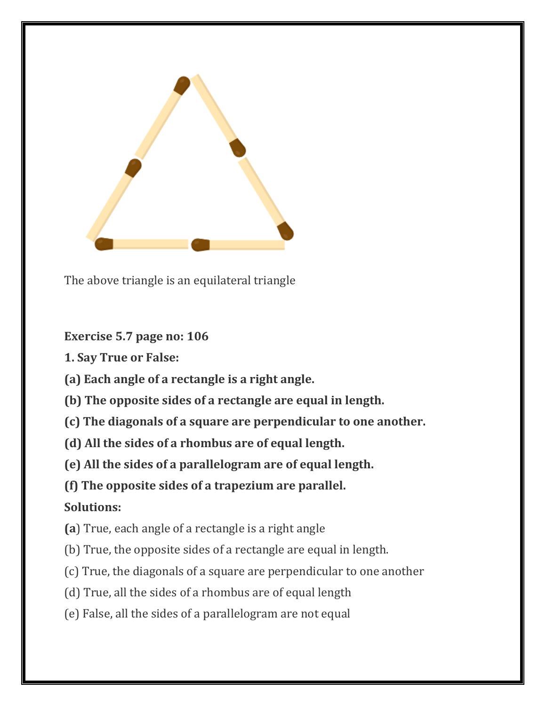

The above triangle is an equilateral triangle

**Exercise 5.7 page no: 106**

- **1. Say True or False:**
- **(a) Each angle of a rectangle is a right angle.**
- **(b) The opposite sides of a rectangle are equal in length.**
- **(c) The diagonals of a square are perpendicular to one another.**
- **(d) All the sides of a rhombus are of equal length.**
- **(e) All the sides of a parallelogram are of equal length.**
- **(f) The opposite sides of a trapezium are parallel.**

# **Solutions:**

- **(a**) True, each angle of a rectangle is a right angle
- (b) True, the opposite sides of a rectangle are equal in length.
- (c) True, the diagonals of a square are perpendicular to one another
- (d) True, all the sides of a rhombus are of equal length
- (e) False, all the sides of a parallelogram are not equal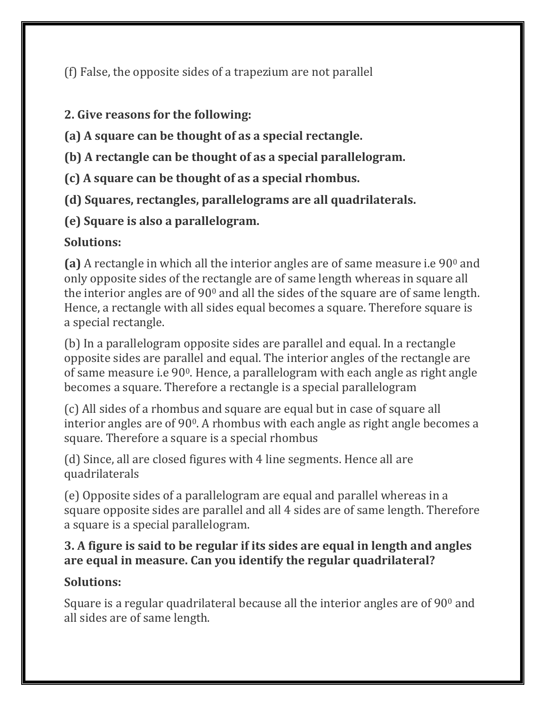(f) False, the opposite sides of a trapezium are not parallel

### **2. Give reasons for the following:**

**(a) A square can be thought of as a special rectangle.**

**(b) A rectangle can be thought of as a special parallelogram.**

**(c) A square can be thought of as a special rhombus.**

**(d) Squares, rectangles, parallelograms are all quadrilaterals.**

**(e) Square is also a parallelogram.**

# **Solutions:**

(a) A rectangle in which all the interior angles are of same measure i.e 90<sup>0</sup> and only opposite sides of the rectangle are of same length whereas in square all the interior angles are of 90<sup>0</sup> and all the sides of the square are of same length. Hence, a rectangle with all sides equal becomes a square. Therefore square is a special rectangle.

(b) In a parallelogram opposite sides are parallel and equal. In a rectangle opposite sides are parallel and equal. The interior angles of the rectangle are of same measure i.e 900. Hence, a parallelogram with each angle as right angle becomes a square. Therefore a rectangle is a special parallelogram

(c) All sides of a rhombus and square are equal but in case of square all interior angles are of 90°. A rhombus with each angle as right angle becomes a square. Therefore a square is a special rhombus

(d) Since, all are closed figures with 4 line segments. Hence all are quadrilaterals

(e) Opposite sides of a parallelogram are equal and parallel whereas in a square opposite sides are parallel and all 4 sides are of same length. Therefore a square is a special parallelogram.

### **3. A figure is said to be regular if its sides are equal in length and angles are equal in measure. Can you identify the regular quadrilateral?**

# **Solutions:**

Square is a regular quadrilateral because all the interior angles are of  $90^{\circ}$  and all sides are of same length.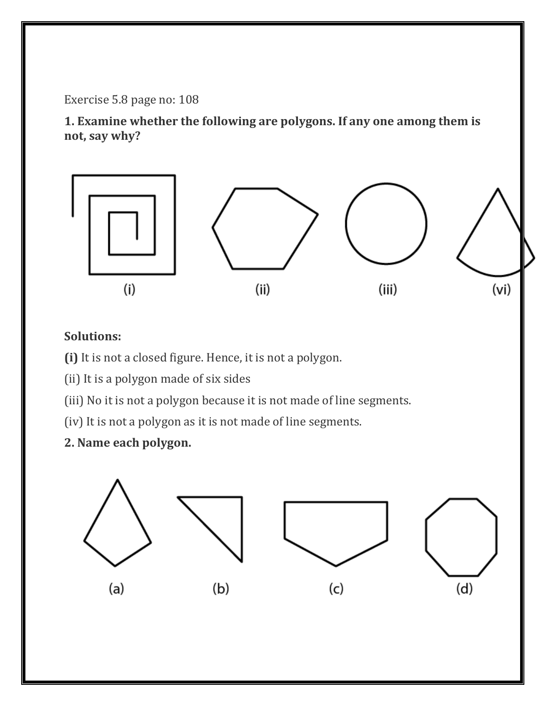Exercise 5.8 page no: 108

**1. Examine whether the following are polygons. If any one among them is not, say why?**



### **Solutions:**

- **(i)** It is not a closed figure. Hence, it is not a polygon.
- (ii) It is a polygon made of six sides
- (iii) No it is not a polygon because it is not made of line segments.
- (iv) It is not a polygon as it is not made of line segments.
- **2. Name each polygon.**

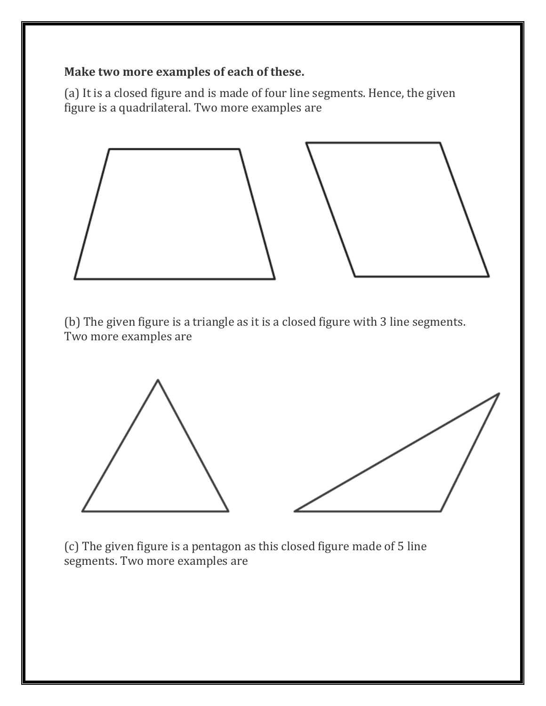#### **Make two more examples of each of these.**

(a) It is a closed figure and is made of four line segments. Hence, the given figure is a quadrilateral. Two more examples are



(b) The given figure is a triangle as it is a closed figure with 3 line segments. Two more examples are



(c) The given figure is a pentagon as this closed figure made of 5 line segments. Two more examples are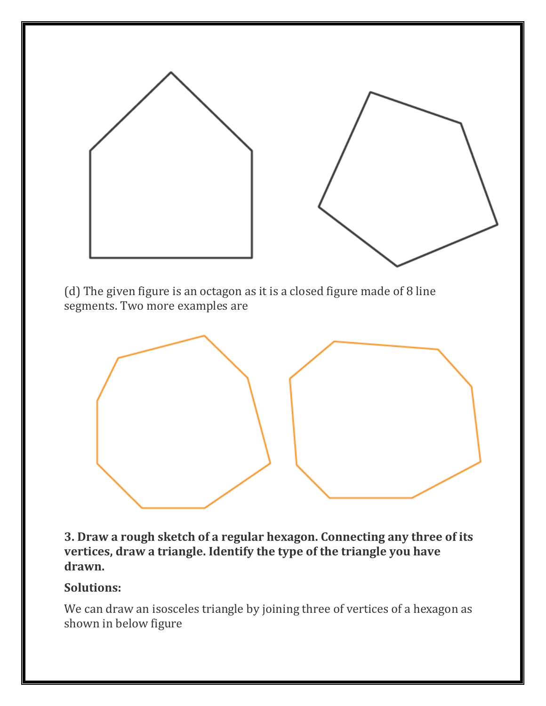

(d) The given figure is an octagon as it is a closed figure made of 8 line segments. Two more examples are



**3. Draw a rough sketch of a regular hexagon. Connecting any three of its vertices, draw a triangle. Identify the type of the triangle you have drawn.**

#### **Solutions:**

We can draw an isosceles triangle by joining three of vertices of a hexagon as shown in below figure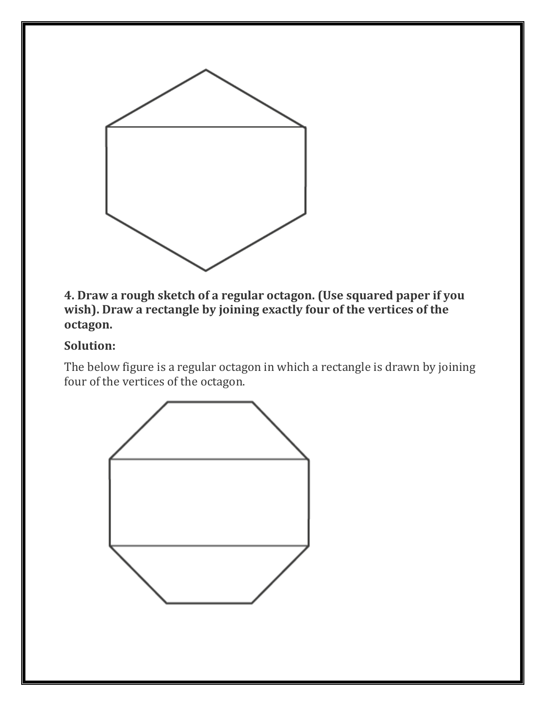

**4. Draw a rough sketch of a regular octagon. (Use squared paper if you wish). Draw a rectangle by joining exactly four of the vertices of the octagon.**

#### **Solution:**

The below figure is a regular octagon in which a rectangle is drawn by joining four of the vertices of the octagon.

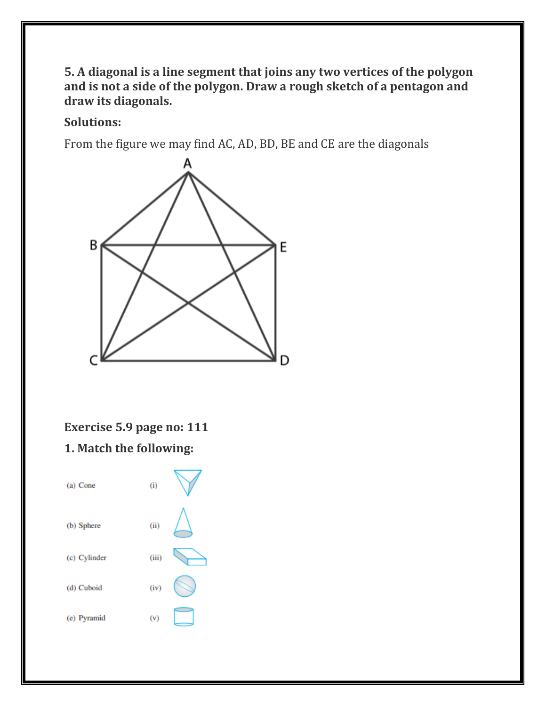#### **5. A diagonal is a line segment that joins any two vertices of the polygon and is not a side of the polygon. Draw a rough sketch of a pentagon and draw its diagonals.**

#### **Solutions:**

From the figure we may find AC, AD, BD, BE and CE are the diagonals



# **Exercise 5.9 page no: 111**

#### **1. Match the following:**

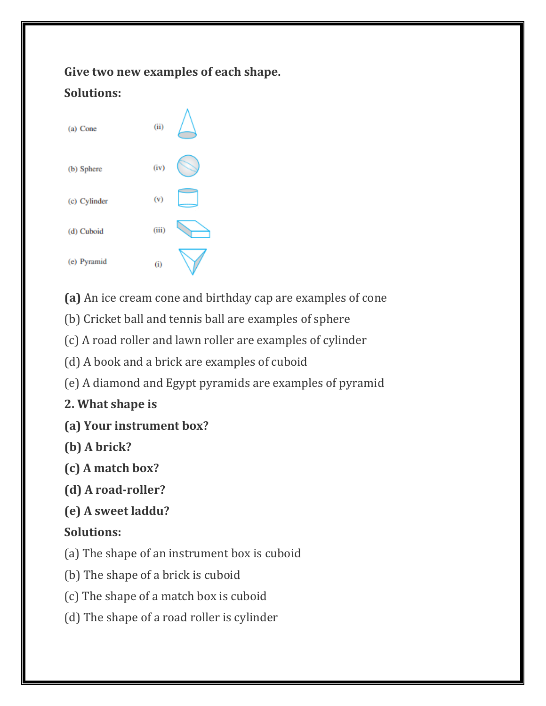# **Give two new examples of each shape. Solutions:**



**(a)** An ice cream cone and birthday cap are examples of cone

(b) Cricket ball and tennis ball are examples of sphere

(c) A road roller and lawn roller are examples of cylinder

(d) A book and a brick are examples of cuboid

(e) A diamond and Egypt pyramids are examples of pyramid

**2. What shape is**

- **(a) Your instrument box?**
- **(b) A brick?**
- **(c) A match box?**
- **(d) A road-roller?**
- **(e) A sweet laddu?**

# **Solutions:**

- (a) The shape of an instrument box is cuboid
- (b) The shape of a brick is cuboid
- (c) The shape of a match box is cuboid
- (d) The shape of a road roller is cylinder